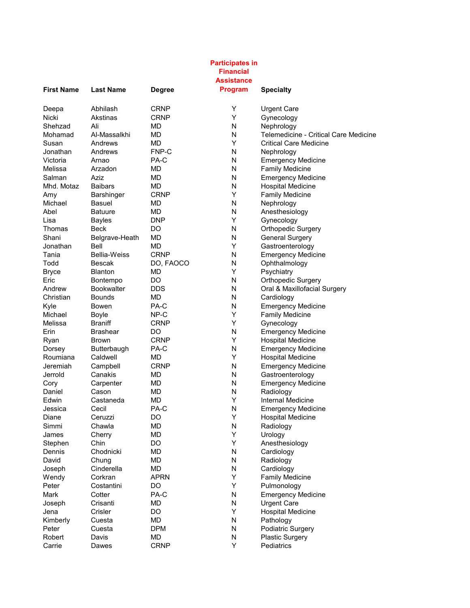| <b>Participates in</b><br><b>Financial</b><br><b>Assistance</b> |                     |               |                |                                       |  |
|-----------------------------------------------------------------|---------------------|---------------|----------------|---------------------------------------|--|
| <b>First Name</b>                                               | <b>Last Name</b>    | <b>Degree</b> | <b>Program</b> | <b>Specialty</b>                      |  |
| Deepa                                                           | Abhilash            | <b>CRNP</b>   | Y              | <b>Urgent Care</b>                    |  |
| <b>Nicki</b>                                                    | Akstinas            | <b>CRNP</b>   | Y              | Gynecology                            |  |
| Shehzad                                                         | Ali                 | MD            | N              | Nephrology                            |  |
| Mohamad                                                         | Al-Massalkhi        | MD            | N              | Telemedicine - Critical Care Medicine |  |
| Susan                                                           | Andrews             | MD            | Y              | <b>Critical Care Medicine</b>         |  |
| Jonathan                                                        | Andrews             | FNP-C         | N              | Nephrology                            |  |
| Victoria                                                        | Arnao               | PA-C          | N              | <b>Emergency Medicine</b>             |  |
| Melissa                                                         | Arzadon             | МD            | N              | <b>Family Medicine</b>                |  |
| Salman                                                          | Aziz                | <b>MD</b>     | N              | <b>Emergency Medicine</b>             |  |
| Mhd. Motaz                                                      | <b>Baibars</b>      | <b>MD</b>     | N              | <b>Hospital Medicine</b>              |  |
| Amy                                                             | Barshinger          | <b>CRNP</b>   | Y              | <b>Family Medicine</b>                |  |
| Michael                                                         | Basuel              | MD            | N              | Nephrology                            |  |
| Abel                                                            | <b>Batuure</b>      | <b>MD</b>     | N              | Anesthesiology                        |  |
| Lisa                                                            | Bayles              | <b>DNP</b>    | Y              | Gynecology                            |  |
| Thomas                                                          | Beck                | DO            | N              | <b>Orthopedic Surgery</b>             |  |
| Shani                                                           | Belgrave-Heath      | MD            | N              | <b>General Surgery</b>                |  |
| Jonathan                                                        | Bell                | <b>MD</b>     | Y              | Gastroenterology                      |  |
| Tania                                                           | <b>Bellia-Weiss</b> | <b>CRNP</b>   | N              | <b>Emergency Medicine</b>             |  |
| Todd                                                            | Bescak              | DO, FAOCO     | N              | Ophthalmology                         |  |
| <b>Bryce</b>                                                    | <b>Blanton</b>      | MD            | Y              | Psychiatry                            |  |
| Eric                                                            | <b>Bontempo</b>     | DO            | N              | <b>Orthopedic Surgery</b>             |  |
| Andrew                                                          | <b>Bookwalter</b>   | <b>DDS</b>    | N              | Oral & Maxillofacial Surgery          |  |
| Christian                                                       | <b>Bounds</b>       | MD            | N              | Cardiology                            |  |
| Kyle                                                            | Bowen               | PA-C          | N              | <b>Emergency Medicine</b>             |  |
| Michael                                                         | Boyle               | NP-C          | Y              | <b>Family Medicine</b>                |  |
| Melissa                                                         | <b>Braniff</b>      | <b>CRNP</b>   | Υ              | Gynecology                            |  |
| Erin                                                            | <b>Brashear</b>     | DO            | Ν              | <b>Emergency Medicine</b>             |  |
| Ryan                                                            | Brown               | <b>CRNP</b>   | Y              | <b>Hospital Medicine</b>              |  |
| Dorsey                                                          | Butterbaugh         | PA-C          | Ν              | <b>Emergency Medicine</b>             |  |
| Roumiana                                                        | Caldwell            | MD            | Y              | <b>Hospital Medicine</b>              |  |
| Jeremiah                                                        | Campbell            | <b>CRNP</b>   | N              | <b>Emergency Medicine</b>             |  |
| Jerrold                                                         | Canakis             | MD            | N              | Gastroenterology                      |  |
| Cory                                                            | Carpenter           | МD            | N              | <b>Emergency Medicine</b>             |  |
| Daniel                                                          | Cason               | МD            | N              | Radiology                             |  |
| Edwin                                                           | Castaneda           | <b>MD</b>     | Y              | Internal Medicine                     |  |
| Jessica                                                         | Cecil               | PA-C          | N              | <b>Emergency Medicine</b>             |  |
| Diane                                                           | Ceruzzi             | DO            | Υ              | <b>Hospital Medicine</b>              |  |
| Simmi                                                           | Chawla              | MD            | N              | Radiology                             |  |
| James                                                           | Cherry              | MD            | Υ              | Urology                               |  |
| Stephen                                                         | Chin                | DO            | Y              | Anesthesiology                        |  |
| Dennis                                                          | Chodnicki           | MD            | N              | Cardiology                            |  |
| David                                                           | Chung               | MD            | N              | Radiology                             |  |
| Joseph                                                          | Cinderella          | MD            | N              | Cardiology                            |  |
| Wendy                                                           | Corkran             | <b>APRN</b>   | Y              | <b>Family Medicine</b>                |  |
| Peter                                                           | Costantini          | DO            | Υ              | Pulmonology                           |  |
| Mark                                                            | Cotter              | PA-C          | N              | <b>Emergency Medicine</b>             |  |
| Joseph                                                          | Crisanti            | MD            | N              | <b>Urgent Care</b>                    |  |
| Jena                                                            | Crisler             | DO            | Υ              | <b>Hospital Medicine</b>              |  |
| Kimberly                                                        | Cuesta              | MD            | N              | Pathology                             |  |
| Peter                                                           | Cuesta              | <b>DPM</b>    | N              | Podiatric Surgery                     |  |
| Robert                                                          | Davis               | <b>MD</b>     | N              | <b>Plastic Surgery</b>                |  |
| Carrie                                                          | Dawes               | <b>CRNP</b>   | Y              | Pediatrics                            |  |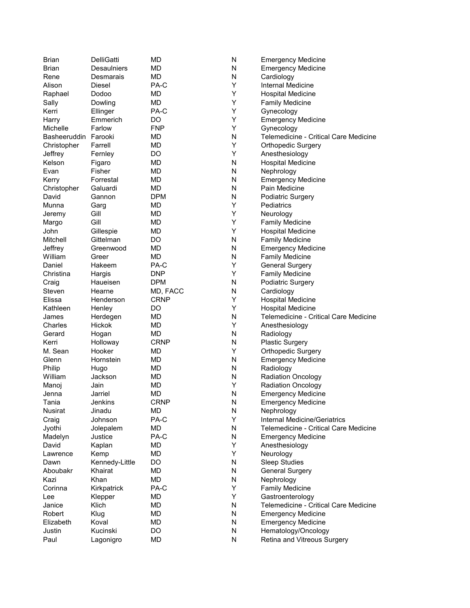| <b>Brian</b>         | DelliGatti      | MD          | N | <b>Emergency Medicine</b>             |
|----------------------|-----------------|-------------|---|---------------------------------------|
| Brian                | Desaulniers     | MD          | N | <b>Emergency Medicine</b>             |
| Rene                 | Desmarais       | MD          | N | Cardiology                            |
| Alison               | Diesel          | PA-C        | Y | Internal Medicine                     |
| Raphael              | Dodoo           | <b>MD</b>   | Y | <b>Hospital Medicine</b>              |
| Sally                | Dowling         | <b>MD</b>   | Υ | <b>Family Medicine</b>                |
| Kerri                | Ellinger        | PA-C        | Υ | Gynecology                            |
| Harry                | Emmerich        | DO          | Y | <b>Emergency Medicine</b>             |
| Michelle             | Farlow          | <b>FNP</b>  | Υ | Gynecology                            |
| Basheeruddin Farooki |                 | MD          | N | Telemedicine - Critical Care Medicine |
| Christopher          | Farrell         | <b>MD</b>   | Υ | <b>Orthopedic Surgery</b>             |
| Jeffrey              | Fernley         | DO          | Y | Anesthesiology                        |
| Kelson               | Figaro          | MD          | N | <b>Hospital Medicine</b>              |
| Evan                 | Fisher          | MD          | N | Nephrology                            |
| Kerry                | Forrestal       | <b>MD</b>   | N | <b>Emergency Medicine</b>             |
| Christopher          | Galuardi        | <b>MD</b>   | N | Pain Medicine                         |
| David                | Gannon          | <b>DPM</b>  | N | Podiatric Surgery                     |
| Munna                | Garg            | <b>MD</b>   | Υ | Pediatrics                            |
| Jeremy               | Gill            | MD          | Y | Neurology                             |
| Margo                | Gill            | <b>MD</b>   | Y | <b>Family Medicine</b>                |
| John                 | Gillespie       | MD          | Υ | <b>Hospital Medicine</b>              |
| Mitchell             | Gittelman       | DO          | N | <b>Family Medicine</b>                |
| Jeffrey              | Greenwood       | MD          | N | <b>Emergency Medicine</b>             |
| William              |                 | MD          | N | <b>Family Medicine</b>                |
| Daniel               | Greer<br>Hakeem | PA-C        | Υ | <b>General Surgery</b>                |
| Christina            |                 | <b>DNP</b>  | Y |                                       |
|                      | Hargis          |             |   | <b>Family Medicine</b>                |
| Craig                | Haueisen        | <b>DPM</b>  | Ν | Podiatric Surgery                     |
| Steven               | Hearne          | MD, FACC    | Ν | Cardiology                            |
| Elissa               | Henderson       | <b>CRNP</b> | Υ | <b>Hospital Medicine</b>              |
| Kathleen             | Henley          | DO          | Y | <b>Hospital Medicine</b>              |
| James                | Herdegen        | MD          | N | Telemedicine - Critical Care Medicine |
| Charles              | Hickok          | MD          | Υ | Anesthesiology                        |
| Gerard               | Hogan           | <b>MD</b>   | N | Radiology                             |
| Kerri                | Holloway        | <b>CRNP</b> | N | Plastic Surgery                       |
| M. Sean              | Hooker          | MD          | Υ | <b>Orthopedic Surgery</b>             |
| Glenn                | Hornstein       | <b>MD</b>   | N | <b>Emergency Medicine</b>             |
| Philip               | Hugo            | MD          | N | Radiology                             |
| William              | Jackson         | <b>MD</b>   | N | <b>Radiation Oncology</b>             |
| Manoj                | Jain            | MD          | Y | <b>Radiation Oncology</b>             |
| Jenna                | Jarriel         | MD          | N | <b>Emergency Medicine</b>             |
| Tania                | Jenkins         | <b>CRNP</b> | N | <b>Emergency Medicine</b>             |
| Nusirat              | Jinadu          | MD          | N | Nephrology                            |
| Craig                | Johnson         | PA-C        | Y | <b>Internal Medicine/Geriatrics</b>   |
| Jyothi               | Jolepalem       | MD          | N | Telemedicine - Critical Care Medicine |
| Madelyn              | Justice         | PA-C        | N | <b>Emergency Medicine</b>             |
| David                | Kaplan          | MD          | Υ | Anesthesiology                        |
| Lawrence             | Kemp            | MD          | Υ | Neurology                             |
| Dawn                 | Kennedy-Little  | DO          | N | <b>Sleep Studies</b>                  |
| Aboubakr             | Khairat         | MD          | N | <b>General Surgery</b>                |
| Kazi                 | Khan            | MD          | N | Nephrology                            |
| Corinna              | Kirkpatrick     | PA-C        | Υ | <b>Family Medicine</b>                |
| Lee                  | Klepper         | MD          | Υ | Gastroenterology                      |
| Janice               | Klich           | MD          | N | Telemedicine - Critical Care Medicine |
| Robert               | Klug            | MD          | N | <b>Emergency Medicine</b>             |
| Elizabeth            | Koval           | MD          | N | <b>Emergency Medicine</b>             |
| Justin               | Kucinski        | DO          | N | Hematology/Oncology                   |
| Paul                 | Lagonigro       | MD          | N | Retina and Vitreous Surgery           |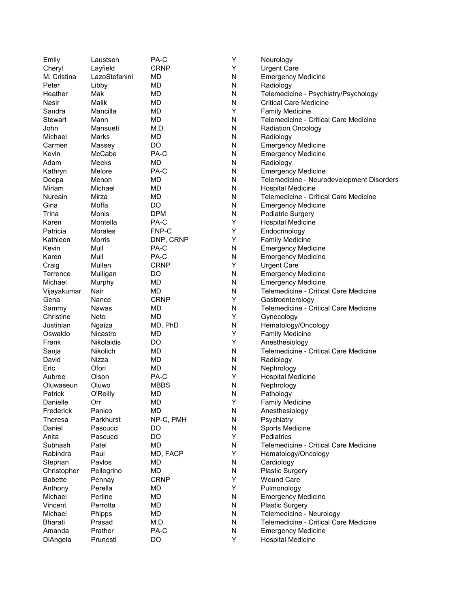| Emily          | Laustsen          | PA-C        | Υ | Neurology                                 |
|----------------|-------------------|-------------|---|-------------------------------------------|
| Cheryl         | Layfield          | <b>CRNP</b> | Υ | <b>Urgent Care</b>                        |
| M. Cristina    | LazoStefanini     | MD          | N | <b>Emergency Medicine</b>                 |
| Peter          | Libby             | <b>MD</b>   | N | Radiology                                 |
| Heather        | Mak               | <b>MD</b>   | N | Telemedicine - Psychiatry/Psychology      |
| Nasir          | Malik             | <b>MD</b>   | N | <b>Critical Care Medicine</b>             |
| Sandra         | Mancilla          | <b>MD</b>   | Υ | <b>Family Medicine</b>                    |
| <b>Stewart</b> | Mann              | <b>MD</b>   | N | Telemedicine - Critical Care Medicine     |
| John           | Mansueti          | M.D.        | N | <b>Radiation Oncology</b>                 |
| Michael        | Marks             | <b>MD</b>   | N | Radiology                                 |
| Carmen         | Massey            | DO          | N | <b>Emergency Medicine</b>                 |
| Kevin          | McCabe            | PA-C        | N | <b>Emergency Medicine</b>                 |
| Adam           | Meeks             | MD          | N | Radiology                                 |
| Kathryn        | Melore            | PA-C        | N | <b>Emergency Medicine</b>                 |
| Deepa          | Menon             | <b>MD</b>   | N | Telemedicine - Neurodevelopment Disorders |
| Miriam         | Michael           | <b>MD</b>   | N | <b>Hospital Medicine</b>                  |
| Nureain        | Mirza             | MD          | N | Telemedicine - Critical Care Medicine     |
| Gina           | Moffa             | DO          | N | <b>Emergency Medicine</b>                 |
| Trina          | Monis             | <b>DPM</b>  | N | Podiatric Surgery                         |
| Karen          | Montella          | PA-C        | Υ |                                           |
| Patricia       |                   | FNP-C       |   | <b>Hospital Medicine</b>                  |
| Kathleen       | <b>Morales</b>    |             | Υ | Endocrinology                             |
|                | <b>Morris</b>     | DNP, CRNP   | Υ | <b>Family Medicine</b>                    |
| Kevin          | Mull              | PA-C        | N | <b>Emergency Medicine</b>                 |
| Karen          | Mull              | PA-C        | N | <b>Emergency Medicine</b>                 |
| Craig          | Mullen            | <b>CRNP</b> | Y | <b>Urgent Care</b>                        |
| Terrence       | Mulligan          | DO          | N | <b>Emergency Medicine</b>                 |
| Michael        | Murphy            | <b>MD</b>   | N | <b>Emergency Medicine</b>                 |
| Vijayakumar    | Nair              | <b>MD</b>   | N | Telemedicine - Critical Care Medicine     |
| Gena           | Nance             | <b>CRNP</b> | Υ | Gastroenterology                          |
| Sammy          | Nawas             | MD          | N | Telemedicine - Critical Care Medicine     |
| Christine      | Neto              | MD          | Υ | Gynecology                                |
| Justinian      | Ngaiza            | MD, PhD     | N | Hematology/Oncology                       |
| Oswaldo        | Nicastro          | <b>MD</b>   | Υ | <b>Family Medicine</b>                    |
| Frank          | <b>Nikolaidis</b> | DO          | Υ | Anesthesiology                            |
| Sanja          | Nikolich          | <b>MD</b>   | N | Telemedicine - Critical Care Medicine     |
| David          | Nizza             | <b>MD</b>   | N | Radiology                                 |
| Eric           | Ofori             | <b>MD</b>   | N | Nephrology                                |
| Aubree         | Olson             | PA-C        | Y | <b>Hospital Medicine</b>                  |
| Oluwaseun      | Oluwo             | <b>MBBS</b> | N | Nephrology                                |
| Patrick        | O'Reilly          | <b>MD</b>   | N | Pathology                                 |
| Danielle       | Orr               | MD          | Υ | <b>Family Medicine</b>                    |
| Frederick      | Panico            | MD          | N | Anesthesiology                            |
| Theresa        | Parkhurst         | NP-C, PMH   | N | Psychiatry                                |
| Daniel         | Pascucci          | DO          | N | Sports Medicine                           |
| Anita          | Pascucci          | DO          | Υ | Pediatrics                                |
| Subhash        | Patel             | MD          | N | Telemedicine - Critical Care Medicine     |
| Rabindra       | Paul              | MD, FACP    | Υ | Hematology/Oncology                       |
| Stephan        | Pavlos            | MD          | N | Cardiology                                |
| Christopher    | Pellegrino        | MD          | N | <b>Plastic Surgery</b>                    |
| <b>Babette</b> | Pennay            | <b>CRNP</b> | Υ | <b>Wound Care</b>                         |
| Anthony        | Perella           | MD          | Υ | Pulmonology                               |
| Michael        | Perline           | <b>MD</b>   | N | <b>Emergency Medicine</b>                 |
| Vincent        | Perrotta          | MD          | N | <b>Plastic Surgery</b>                    |
| Michael        | Phipps            | <b>MD</b>   | N | Telemedicine - Neurology                  |
| <b>Bharati</b> | Prasad            | M.D.        | N | Telemedicine - Critical Care Medicine     |
| Amanda         | Prather           | PA-C        | N | <b>Emergency Medicine</b>                 |
| DiAngela       | Prunesti          | DO          | Υ | <b>Hospital Medicine</b>                  |
|                |                   |             |   |                                           |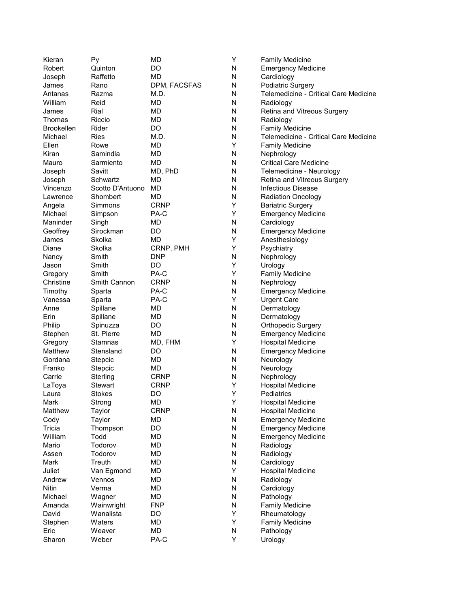| Kieran            | Py               | MD           | Y         | <b>Family Medicine</b>                |
|-------------------|------------------|--------------|-----------|---------------------------------------|
| Robert            | Quinton          | DO           | N         | <b>Emergency Medicine</b>             |
| Joseph            | Raffetto         | <b>MD</b>    | N         | Cardiology                            |
| James             | Rano             | DPM, FACSFAS | N         | Podiatric Surgery                     |
| Antanas           | Razma            | M.D.         | N         | Telemedicine - Critical Care Medicine |
| William           | Reid             | МD           | N         | Radiology                             |
| James             | Rial             | <b>MD</b>    | N         | Retina and Vitreous Surgery           |
| Thomas            | Riccio           | <b>MD</b>    | N         | Radiology                             |
| <b>Brookellen</b> | Rider            | DO           | N         | <b>Family Medicine</b>                |
| Michael           | Ries             | M.D.         | N         | Telemedicine - Critical Care Medicine |
| Ellen             | Rowe             | <b>MD</b>    | Υ         | <b>Family Medicine</b>                |
| Kiran             | Samindla         | <b>MD</b>    | N         | Nephrology                            |
| Mauro             | Sarmiento        | МD           | N         | <b>Critical Care Medicine</b>         |
| Joseph            | Savitt           | MD, PhD      | N         | Telemedicine - Neurology              |
| Joseph            | Schwartz         | <b>MD</b>    | N         | Retina and Vitreous Surgery           |
| Vincenzo          | Scotto D'Antuono | MD           | N         | <b>Infectious Disease</b>             |
| Lawrence          | Shombert         | MD           | N         | <b>Radiation Oncology</b>             |
| Angela            | Simmons          | <b>CRNP</b>  | Υ         | <b>Bariatric Surgery</b>              |
| Michael           | Simpson          | PA-C         | Y         | <b>Emergency Medicine</b>             |
| Maninder          | Singh            | MD           | N         | Cardiology                            |
| Geoffrey          | Sirockman        | DO           | N         | <b>Emergency Medicine</b>             |
| James             | Skolka           | <b>MD</b>    | Y         | Anesthesiology                        |
| Diane             | Skolka           |              | Υ         | Psychiatry                            |
|                   | Smith            | CRNP, PMH    |           |                                       |
| Nancy             |                  | <b>DNP</b>   | N<br>Υ    | Nephrology                            |
| Jason             | Smith            | DO           | Y         | Urology                               |
| Gregory           | Smith            | PA-C         |           | <b>Family Medicine</b>                |
| Christine         | Smith Cannon     | <b>CRNP</b>  | N         | Nephrology                            |
| Timothy           | Sparta           | PA-C         | N         | <b>Emergency Medicine</b>             |
| Vanessa           | Sparta           | PA-C         | Y         | <b>Urgent Care</b>                    |
| Anne              | Spillane         | <b>MD</b>    | N         | Dermatology                           |
| Erin              | Spillane         | MD           | N         | Dermatology                           |
| Philip            | Spinuzza         | DO           | N         | <b>Orthopedic Surgery</b>             |
| Stephen           | St. Pierre       | <b>MD</b>    | N         | <b>Emergency Medicine</b>             |
| Gregory           | Stamnas          | MD, FHM      | Υ         | <b>Hospital Medicine</b>              |
| Matthew           | Stensland        | DO           | N         | <b>Emergency Medicine</b>             |
| Gordana           | Stepcic          | MD           | N         | Neurology                             |
| Franko            | Stepcic          | MD           | N         | Neurology                             |
| Carrie            | Sterling         | <b>CRNP</b>  | N         | Nephrology                            |
| LaToya            | <b>Stewart</b>   | <b>CRNP</b>  | Υ         | <b>Hospital Medicine</b>              |
| Laura             | Stokes           | DO           | Y         | Pediatrics                            |
| Mark              | Strong           | MD           | Υ         | <b>Hospital Medicine</b>              |
| Matthew           | Taylor           | <b>CRNP</b>  | N         | <b>Hospital Medicine</b>              |
| Cody              | Taylor           | MD           | ${\sf N}$ | <b>Emergency Medicine</b>             |
| Tricia            | Thompson         | DO           | N         | <b>Emergency Medicine</b>             |
| William           | Todd             | MD           | N         | <b>Emergency Medicine</b>             |
| Mario             | Todorov          | MD           | N         | Radiology                             |
| Assen             | Todorov          | MD           | N         | Radiology                             |
| Mark              | Treuth           | MD           | N         | Cardiology                            |
| Juliet            | Van Egmond       | MD           | Υ         | <b>Hospital Medicine</b>              |
| Andrew            | Vennos           | MD           | ${\sf N}$ | Radiology                             |
| <b>Nitin</b>      | Verma            | MD           | ${\sf N}$ | Cardiology                            |
| Michael           | Wagner           | MD           | N         | Pathology                             |
| Amanda            | Wainwright       | <b>FNP</b>   | N         | <b>Family Medicine</b>                |
| David             | Wanalista        | DO           | Υ         | Rheumatology                          |
| Stephen           | Waters           | MD           | Υ         | <b>Family Medicine</b>                |
| Eric              | Weaver           | MD           | N         | Pathology                             |
| Sharon            | Weber            | PA-C         | Υ         | Urology                               |